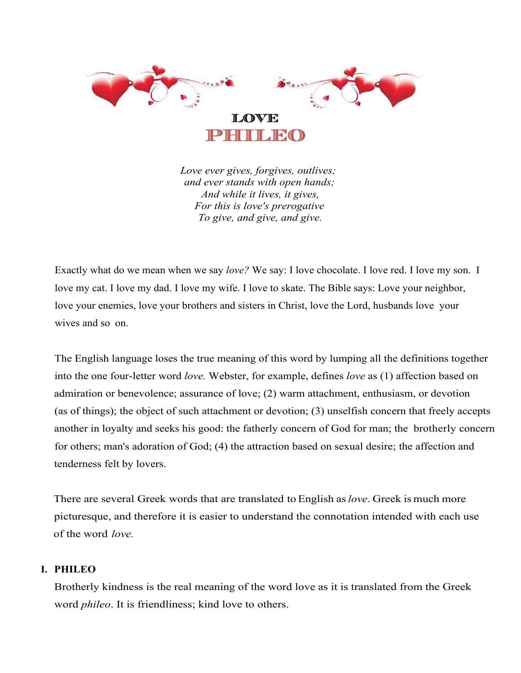

*Love ever gives, forgives, outlives; and ever stands with open hands; And while it lives, it gives, For this is love's prerogative To give, and give, and give.*

Exactly what do we mean when we say *love?* We say: I love chocolate. I love red. I love my son. I love my cat. I love my dad. I love my wife. I love to skate. The Bible says: Love your neighbor, love your enemies, love your brothers and sisters in Christ, love the Lord, husbands love your wives and so on.

The English language loses the true meaning of this word by lumping all the definitions together into the one four-letter word *love.* Webster, for example, defines *love* as (1) affection based on admiration or benevolence; assurance of love; (2) warm attachment, enthusiasm, or devotion (as of things); the object of such attachment or devotion; (3) unselfish concern that freely accepts another in loyalty and seeks his good: the fatherly concern of God for man; the brotherly concern for others; man's adoration of God; (4) the attraction based on sexual desire; the affection and tenderness felt by lovers.

There are several Greek words that are translated to English as*love*. Greek is much more picturesque, and therefore it is easier to understand the connotation intended with each use of the word *love.*

# **I. PHILEO**

Brotherly kindness is the real meaning of the word love as it is translated from the Greek word *phileo*. It is friendliness; kind love to others.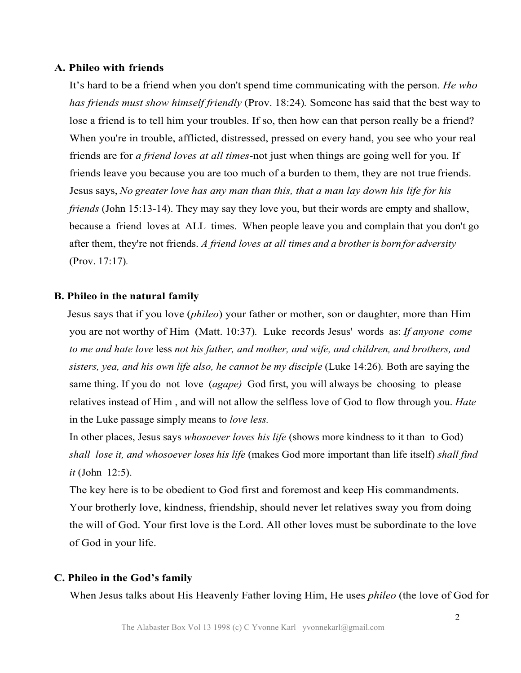## **A. Phileo with friends**

It's hard to be a friend when you don't spend time communicating with the person. *He who has friends must show himself friendly* (Prov. 18:24)*.* Someone has said that the best way to lose a friend is to tell him your troubles. If so, then how can that person really be a friend? When you're in trouble, afflicted, distressed, pressed on every hand, you see who your real friends are for *a friend loves at all times*-not just when things are going well for you. If friends leave you because you are too much of a burden to them, they are not true friends. Jesus says, *No greater love has any man than this, that a man lay down his life for his friends* (John 15:13-14). They may say they love you, but their words are empty and shallow, because a friend loves at ALL times. When people leave you and complain that you don't go after them, they're not friends. *A friend loves at all times and a brotheris born for adversity* (Prov. 17:17)*.*

# **B. Phileo in the natural family**

Jesus says that if you love (*phileo*) your father or mother, son or daughter, more than Him you are not worthy of Him (Matt. 10:37)*.* Luke records Jesus' words as: *If anyone come to me and hate love* less *not his father, and mother, and wife, and children, and brothers, and sisters, yea, and his own life also, he cannot be my disciple* (Luke 14:26)*.* Both are saying the same thing. If you do not love (*agape)* God first, you will always be choosing to please relatives instead of Him , and will not allow the selfless love of God to flow through you. *Hate* in the Luke passage simply means to *love less.*

In other places, Jesus says *whosoever loves his life* (shows more kindness to it than to God) *shall lose it, and whosoever loses his life* (makes God more important than life itself) *shall find it* (John 12:5).

The key here is to be obedient to God first and foremost and keep His commandments. Your brotherly love, kindness, friendship, should never let relatives sway you from doing the will of God. Your first love is the Lord. All other loves must be subordinate to the love of God in your life.

#### **C. Phileo in the God's family**

When Jesus talks about His Heavenly Father loving Him, He uses *phileo* (the love of God for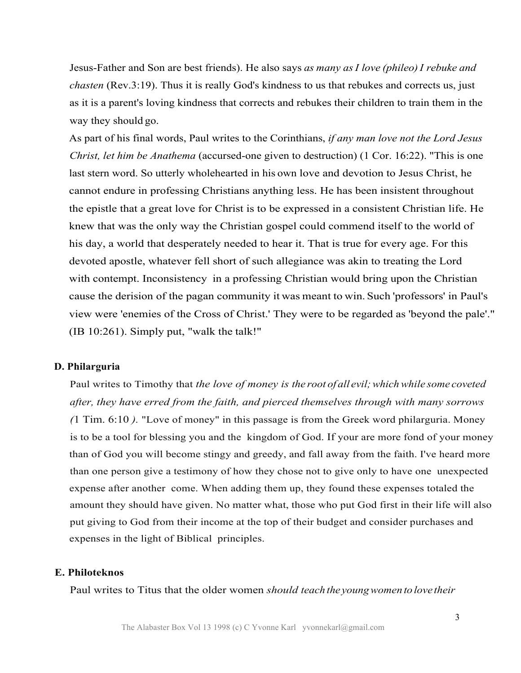Jesus-Father and Son are best friends). He also says *as many asI love (phileo)I rebuke and chasten* (Rev.3:19). Thus it is really God's kindness to us that rebukes and corrects us, just as it is a parent's loving kindness that corrects and rebukes their children to train them in the way they should go.

As part of his final words, Paul writes to the Corinthians, *if any man love not the Lord Jesus Christ, let him be Anathema* (accursed-one given to destruction) (1 Cor. 16:22). "This is one last stern word. So utterly wholehearted in his own love and devotion to Jesus Christ, he cannot endure in professing Christians anything less. He has been insistent throughout the epistle that a great love for Christ is to be expressed in a consistent Christian life. He knew that was the only way the Christian gospel could commend itself to the world of his day, a world that desperately needed to hear it. That is true for every age. For this devoted apostle, whatever fell short of such allegiance was akin to treating the Lord with contempt. Inconsistency in a professing Christian would bring upon the Christian cause the derision of the pagan community it was meant to win. Such 'professors' in Paul's view were 'enemies of the Cross of Christ.' They were to be regarded as 'beyond the pale'." (IB 10:261). Simply put, "walk the talk!"

#### **D. Philarguria**

Paul writes to Timothy that *the love of money is the root of all evil;whichwhile some coveted after, they have erred from the faith, and pierced themselves through with many sorrows (*1 Tim. 6:10 *).* "Love of money" in this passage is from the Greek word philarguria. Money is to be a tool for blessing you and the kingdom of God. If your are more fond of your money than of God you will become stingy and greedy, and fall away from the faith. I've heard more than one person give a testimony of how they chose not to give only to have one unexpected expense after another come. When adding them up, they found these expenses totaled the amount they should have given. No matter what, those who put God first in their life will also put giving to God from their income at the top of their budget and consider purchases and expenses in the light of Biblical principles.

## **E. Philoteknos**

Paul writes to Titus that the older women *should teach the youngwomen tolove their*